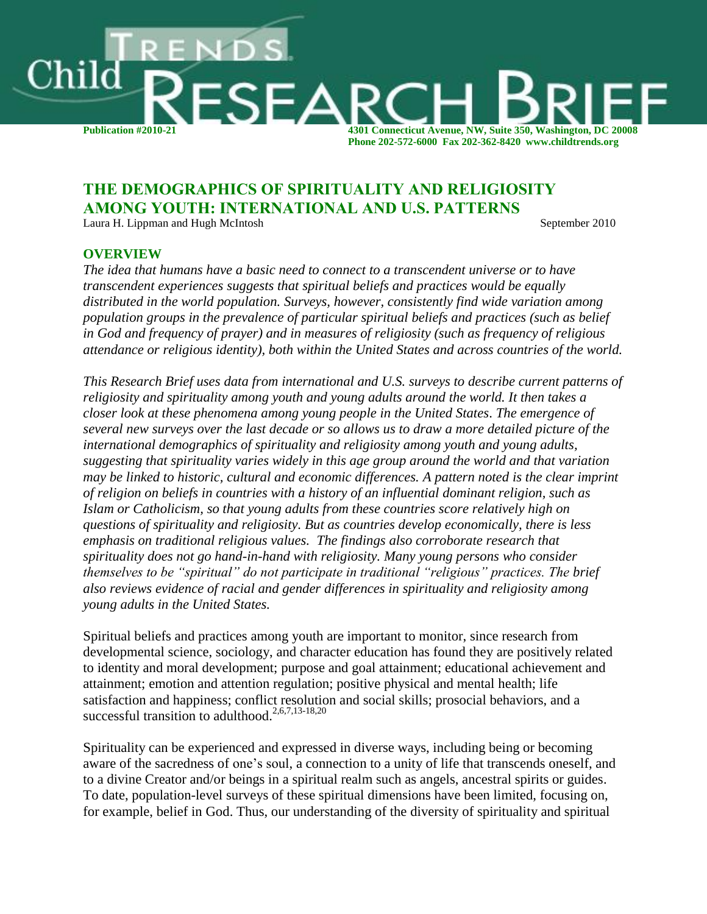

# **THE DEMOGRAPHICS OF SPIRITUALITY AND RELIGIOSITY AMONG YOUTH: INTERNATIONAL AND U.S. PATTERNS**

Laura H. Lippman and Hugh McIntosh September 2010

#### **OVERVIEW**

*The idea that humans have a basic need to connect to a transcendent universe or to have transcendent experiences suggests that spiritual beliefs and practices would be equally distributed in the world population. Surveys, however, consistently find wide variation among population groups in the prevalence of particular spiritual beliefs and practices (such as belief in God and frequency of prayer) and in measures of religiosity (such as frequency of religious attendance or religious identity), both within the United States and across countries of the world.*

*This Research Brief uses data from international and U.S. surveys to describe current patterns of religiosity and spirituality among youth and young adults around the world. It then takes a closer look at these phenomena among young people in the United States*. *The emergence of several new surveys over the last decade or so allows us to draw a more detailed picture of the international demographics of spirituality and religiosity among youth and young adults, suggesting that spirituality varies widely in this age group around the world and that variation may be linked to historic, cultural and economic differences. A pattern noted is the clear imprint of religion on beliefs in countries with a history of an influential dominant religion, such as Islam or Catholicism, so that young adults from these countries score relatively high on questions of spirituality and religiosity. But as countries develop economically, there is less emphasis on traditional religious values. The findings also corroborate research that spirituality does not go hand-in-hand with religiosity. Many young persons who consider themselves to be "spiritual" do not participate in traditional "religious" practices. The brief also reviews evidence of racial and gender differences in spirituality and religiosity among young adults in the United States.*

Spiritual beliefs and practices among youth are important to monitor, since research from developmental science, sociology, and character education has found they are positively related to identity and moral development; purpose and goal attainment; educational achievement and attainment; emotion and attention regulation; positive physical and mental health; life satisfaction and happiness; conflict resolution and social skills; prosocial behaviors, and a successful transition to adulthood.<sup>2,6,7,13-18,20</sup>

Spirituality can be experienced and expressed in diverse ways, including being or becoming aware of the sacredness of one's soul, a connection to a unity of life that transcends oneself, and to a divine Creator and/or beings in a spiritual realm such as angels, ancestral spirits or guides. To date, population-level surveys of these spiritual dimensions have been limited, focusing on, for example, belief in God. Thus, our understanding of the diversity of spirituality and spiritual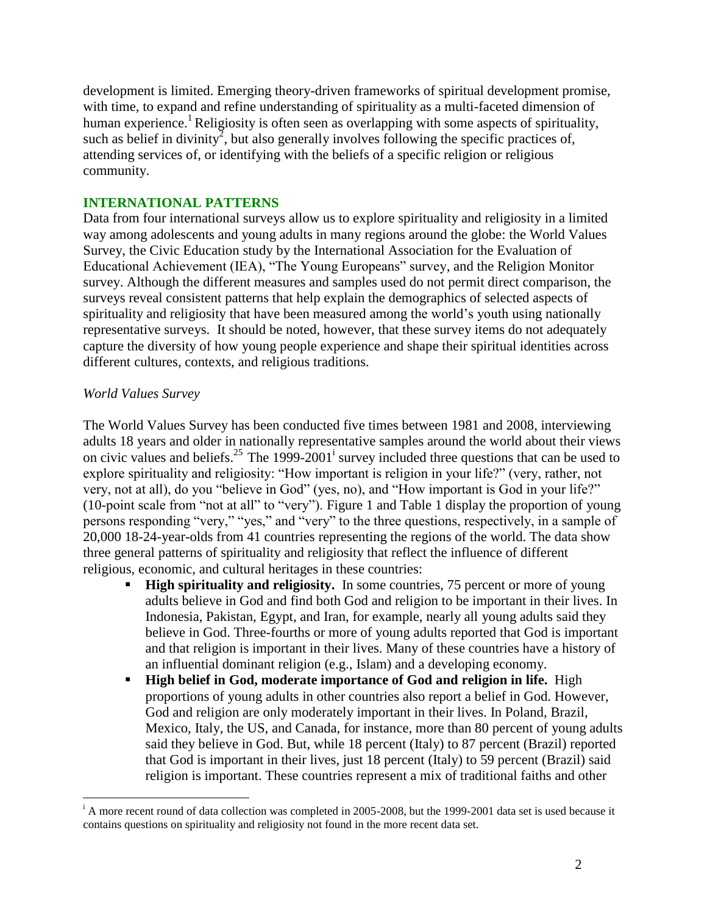development is limited. Emerging theory-driven frameworks of spiritual development promise, with time, to expand and refine understanding of spirituality as a multi-faceted dimension of human experience.<sup>1</sup> Religiosity is often seen as overlapping with some aspects of spirituality, such as belief in divinity<sup>2</sup>, but also generally involves following the specific practices of, attending services of, or identifying with the beliefs of a specific religion or religious community.

## **INTERNATIONAL PATTERNS**

Data from four international surveys allow us to explore spirituality and religiosity in a limited way among adolescents and young adults in many regions around the globe: the World Values Survey, the Civic Education study by the International Association for the Evaluation of Educational Achievement (IEA), "The Young Europeans" survey, and the Religion Monitor survey. Although the different measures and samples used do not permit direct comparison, the surveys reveal consistent patterns that help explain the demographics of selected aspects of spirituality and religiosity that have been measured among the world's youth using nationally representative surveys. It should be noted, however, that these survey items do not adequately capture the diversity of how young people experience and shape their spiritual identities across different cultures, contexts, and religious traditions.

## *World Values Survey*

The World Values Survey has been conducted five times between 1981 and 2008, interviewing adults 18 years and older in nationally representative samples around the world about their views on civic values and beliefs.<sup>25</sup> The 1999-2001<sup>i</sup> survey included three questions that can be used to explore spirituality and religiosity: "How important is religion in your life?" (very, rather, not very, not at all), do you "believe in God" (yes, no), and "How important is God in your life?" (10-point scale from "not at all" to "very"). Figure 1 and Table 1 display the proportion of young persons responding "very," "yes," and "very" to the three questions, respectively, in a sample of 20,000 18-24-year-olds from 41 countries representing the regions of the world. The data show three general patterns of spirituality and religiosity that reflect the influence of different religious, economic, and cultural heritages in these countries:

- **High spirituality and religiosity.** In some countries, 75 percent or more of young adults believe in God and find both God and religion to be important in their lives. In Indonesia, Pakistan, Egypt, and Iran, for example, nearly all young adults said they believe in God. Three-fourths or more of young adults reported that God is important and that religion is important in their lives. Many of these countries have a history of an influential dominant religion (e.g., Islam) and a developing economy.
- **High belief in God, moderate importance of God and religion in life.** High proportions of young adults in other countries also report a belief in God. However, God and religion are only moderately important in their lives. In Poland, Brazil, Mexico, Italy, the US, and Canada, for instance, more than 80 percent of young adults said they believe in God. But, while 18 percent (Italy) to 87 percent (Brazil) reported that God is important in their lives, just 18 percent (Italy) to 59 percent (Brazil) said religion is important. These countries represent a mix of traditional faiths and other

 $\overline{a}$ <sup>i</sup> A more recent round of data collection was completed in 2005-2008, but the 1999-2001 data set is used because it contains questions on spirituality and religiosity not found in the more recent data set.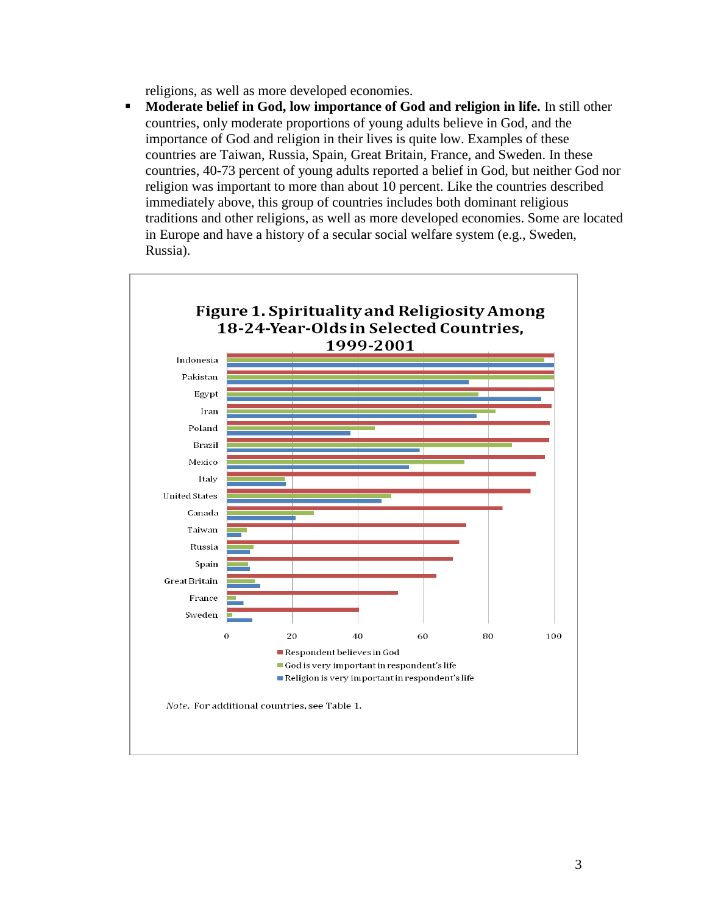religions, as well as more developed economies.

**Moderate belief in God, low importance of God and religion in life.** In still other countries, only moderate proportions of young adults believe in God, and the importance of God and religion in their lives is quite low. Examples of these countries are Taiwan, Russia, Spain, Great Britain, France, and Sweden. In these countries, 40-73 percent of young adults reported a belief in God, but neither God nor religion was important to more than about 10 percent. Like the countries described immediately above, this group of countries includes both dominant religious traditions and other religions, as well as more developed economies. Some are located in Europe and have a history of a secular social welfare system (e.g., Sweden, Russia).

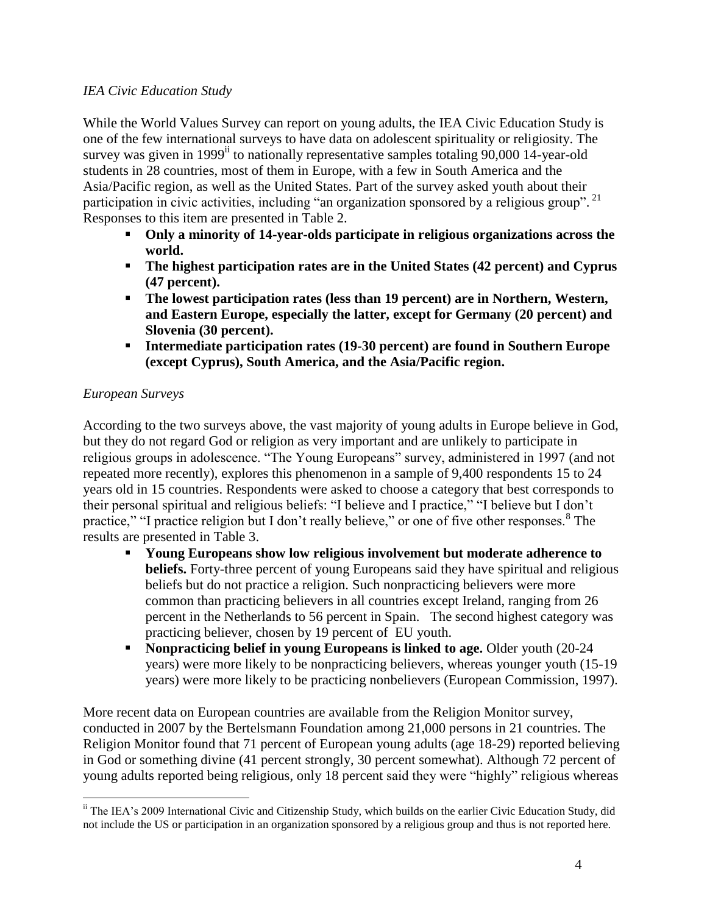#### *IEA Civic Education Study*

While the World Values Survey can report on young adults, the IEA Civic Education Study is one of the few international surveys to have data on adolescent spirituality or religiosity. The survey was given in 1999<sup>ii</sup> to nationally representative samples totaling 90,000 14-year-old students in 28 countries, most of them in Europe, with a few in South America and the Asia/Pacific region, as well as the United States. Part of the survey asked youth about their participation in civic activities, including "an organization sponsored by a religious group".<sup>21</sup> Responses to this item are presented in Table 2.

- **Only a minority of 14-year-olds participate in religious organizations across the world.**
- **The highest participation rates are in the United States (42 percent) and Cyprus (47 percent).**
- **The lowest participation rates (less than 19 percent) are in Northern, Western, and Eastern Europe, especially the latter, except for Germany (20 percent) and Slovenia (30 percent).**
- **Intermediate participation rates (19-30 percent) are found in Southern Europe (except Cyprus), South America, and the Asia/Pacific region.**

# *European Surveys*

 $\overline{a}$ 

According to the two surveys above, the vast majority of young adults in Europe believe in God, but they do not regard God or religion as very important and are unlikely to participate in religious groups in adolescence. "The Young Europeans" survey, administered in 1997 (and not repeated more recently), explores this phenomenon in a sample of 9,400 respondents 15 to 24 years old in 15 countries. Respondents were asked to choose a category that best corresponds to their personal spiritual and religious beliefs: "I believe and I practice," "I believe but I don't practice," "I practice religion but I don't really believe," or one of five other responses.<sup>8</sup> The results are presented in Table 3.

- **Young Europeans show low religious involvement but moderate adherence to beliefs.** Forty-three percent of young Europeans said they have spiritual and religious beliefs but do not practice a religion. Such nonpracticing believers were more common than practicing believers in all countries except Ireland, ranging from 26 percent in the Netherlands to 56 percent in Spain. The second highest category was practicing believer, chosen by 19 percent of EU youth.
- **Nonpracticing belief in young Europeans is linked to age.** Older youth (20-24 years) were more likely to be nonpracticing believers, whereas younger youth (15-19 years) were more likely to be practicing nonbelievers (European Commission, 1997).

More recent data on European countries are available from the Religion Monitor survey, conducted in 2007 by the Bertelsmann Foundation among 21,000 persons in 21 countries. The Religion Monitor found that 71 percent of European young adults (age 18-29) reported believing in God or something divine (41 percent strongly, 30 percent somewhat). Although 72 percent of young adults reported being religious, only 18 percent said they were "highly" religious whereas

<sup>&</sup>lt;sup>ii</sup> The IEA's 2009 International Civic and Citizenship Study, which builds on the earlier Civic Education Study, did not include the US or participation in an organization sponsored by a religious group and thus is not reported here.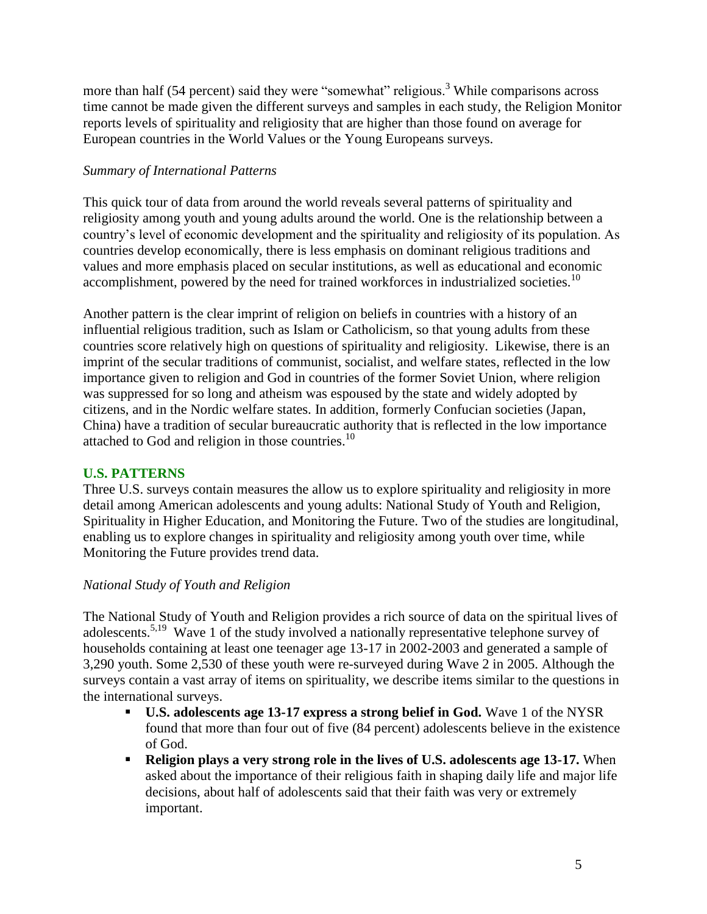more than half (54 percent) said they were "somewhat" religious.<sup>3</sup> While comparisons across time cannot be made given the different surveys and samples in each study, the Religion Monitor reports levels of spirituality and religiosity that are higher than those found on average for European countries in the World Values or the Young Europeans surveys.

# *Summary of International Patterns*

This quick tour of data from around the world reveals several patterns of spirituality and religiosity among youth and young adults around the world. One is the relationship between a country's level of economic development and the spirituality and religiosity of its population. As countries develop economically, there is less emphasis on dominant religious traditions and values and more emphasis placed on secular institutions, as well as educational and economic accomplishment, powered by the need for trained workforces in industrialized societies.<sup>10</sup>

Another pattern is the clear imprint of religion on beliefs in countries with a history of an influential religious tradition, such as Islam or Catholicism, so that young adults from these countries score relatively high on questions of spirituality and religiosity. Likewise, there is an imprint of the secular traditions of communist, socialist, and welfare states, reflected in the low importance given to religion and God in countries of the former Soviet Union, where religion was suppressed for so long and atheism was espoused by the state and widely adopted by citizens, and in the Nordic welfare states. In addition, formerly Confucian societies (Japan, China) have a tradition of secular bureaucratic authority that is reflected in the low importance attached to God and religion in those countries. $10$ 

## **U.S. PATTERNS**

Three U.S. surveys contain measures the allow us to explore spirituality and religiosity in more detail among American adolescents and young adults: National Study of Youth and Religion, Spirituality in Higher Education, and Monitoring the Future. Two of the studies are longitudinal, enabling us to explore changes in spirituality and religiosity among youth over time, while Monitoring the Future provides trend data.

## *National Study of Youth and Religion*

The National Study of Youth and Religion provides a rich source of data on the spiritual lives of adolescents.<sup>5,19</sup> Wave 1 of the study involved a nationally representative telephone survey of households containing at least one teenager age 13-17 in 2002-2003 and generated a sample of 3,290 youth. Some 2,530 of these youth were re-surveyed during Wave 2 in 2005. Although the surveys contain a vast array of items on spirituality, we describe items similar to the questions in the international surveys.

- **U.S. adolescents age 13-17 express a strong belief in God.** Wave 1 of the NYSR found that more than four out of five (84 percent) adolescents believe in the existence of God.
- **Religion plays a very strong role in the lives of U.S. adolescents age 13-17.** When asked about the importance of their religious faith in shaping daily life and major life decisions, about half of adolescents said that their faith was very or extremely important.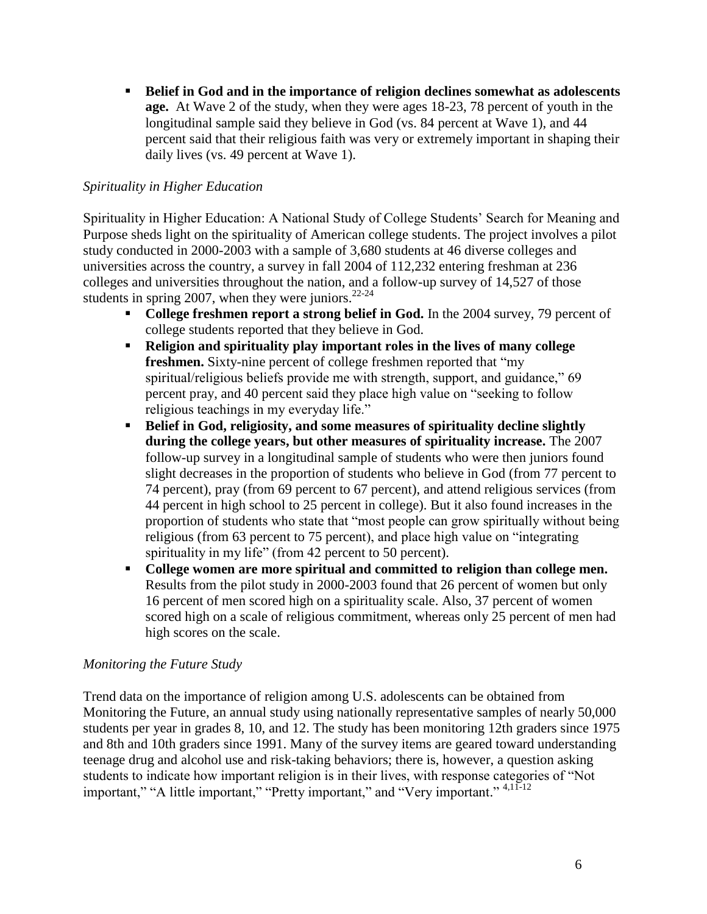**Belief in God and in the importance of religion declines somewhat as adolescents age.** At Wave 2 of the study, when they were ages 18-23, 78 percent of youth in the longitudinal sample said they believe in God (vs. 84 percent at Wave 1), and 44 percent said that their religious faith was very or extremely important in shaping their daily lives (vs. 49 percent at Wave 1).

## *Spirituality in Higher Education*

Spirituality in Higher Education: A National Study of College Students' Search for Meaning and Purpose sheds light on the spirituality of American college students. The project involves a pilot study conducted in 2000-2003 with a sample of 3,680 students at 46 diverse colleges and universities across the country, a survey in fall 2004 of 112,232 entering freshman at 236 colleges and universities throughout the nation, and a follow-up survey of 14,527 of those students in spring 2007, when they were juniors.<sup>22-24</sup>

- **College freshmen report a strong belief in God.** In the 2004 survey, 79 percent of college students reported that they believe in God.
- **Religion and spirituality play important roles in the lives of many college freshmen.** Sixty-nine percent of college freshmen reported that "my spiritual/religious beliefs provide me with strength, support, and guidance," 69 percent pray, and 40 percent said they place high value on "seeking to follow religious teachings in my everyday life."
- **Belief in God, religiosity, and some measures of spirituality decline slightly during the college years, but other measures of spirituality increase.** The 2007 follow-up survey in a longitudinal sample of students who were then juniors found slight decreases in the proportion of students who believe in God (from 77 percent to 74 percent), pray (from 69 percent to 67 percent), and attend religious services (from 44 percent in high school to 25 percent in college). But it also found increases in the proportion of students who state that "most people can grow spiritually without being religious (from 63 percent to 75 percent), and place high value on "integrating spirituality in my life" (from 42 percent to 50 percent).
- **College women are more spiritual and committed to religion than college men.**  Results from the pilot study in 2000-2003 found that 26 percent of women but only 16 percent of men scored high on a spirituality scale. Also, 37 percent of women scored high on a scale of religious commitment, whereas only 25 percent of men had high scores on the scale.

## *Monitoring the Future Study*

Trend data on the importance of religion among U.S. adolescents can be obtained from Monitoring the Future, an annual study using nationally representative samples of nearly 50,000 students per year in grades 8, 10, and 12. The study has been monitoring 12th graders since 1975 and 8th and 10th graders since 1991. Many of the survey items are geared toward understanding teenage drug and alcohol use and risk-taking behaviors; there is, however, a question asking students to indicate how important religion is in their lives, with response categories of "Not important," "A little important," "Pretty important," and "Very important." <sup>4,11-12</sup>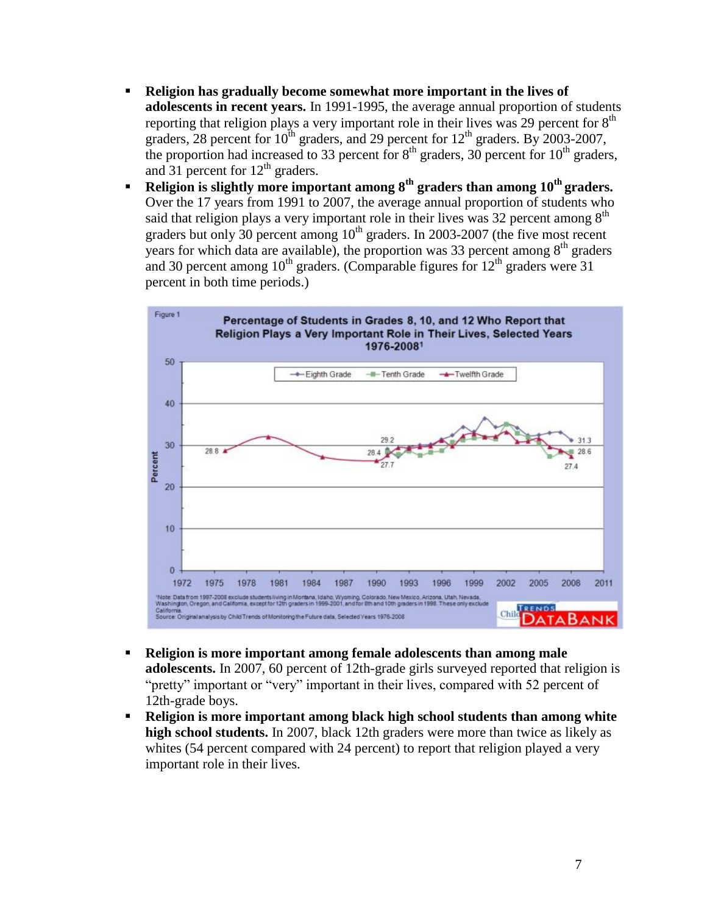- **Religion has gradually become somewhat more important in the lives of adolescents in recent years.** In 1991-1995, the average annual proportion of students reporting that religion plays a very important role in their lives was 29 percent for  $8<sup>th</sup>$ graders,  $28$  percent for  $10^{th}$  graders, and  $29$  percent for  $12^{th}$  graders. By  $2003-2007$ , the proportion had increased to 33 percent for  $8<sup>th</sup>$  graders, 30 percent for 10<sup>th</sup> graders, and 31 percent for  $12<sup>th</sup>$  graders.
- **Religion is slightly more important among 8th graders than among 10th graders.**  Over the 17 years from 1991 to 2007, the average annual proportion of students who said that religion plays a very important role in their lives was 32 percent among  $8<sup>th</sup>$ graders but only 30 percent among  $10^{th}$  graders. In 2003-2007 (the five most recent years for which data are available), the proportion was 33 percent among  $8<sup>th</sup>$  graders and 30 percent among  $10^{th}$  graders. (Comparable figures for  $12^{th}$  graders were 31 percent in both time periods.)



- **Religion is more important among female adolescents than among male adolescents.** In 2007, 60 percent of 12th-grade girls surveyed reported that religion is "pretty" important or "very" important in their lives, compared with 52 percent of 12th-grade boys.
- **Religion is more important among black high school students than among white high school students.** In 2007, black 12th graders were more than twice as likely as whites (54 percent compared with 24 percent) to report that religion played a very important role in their lives.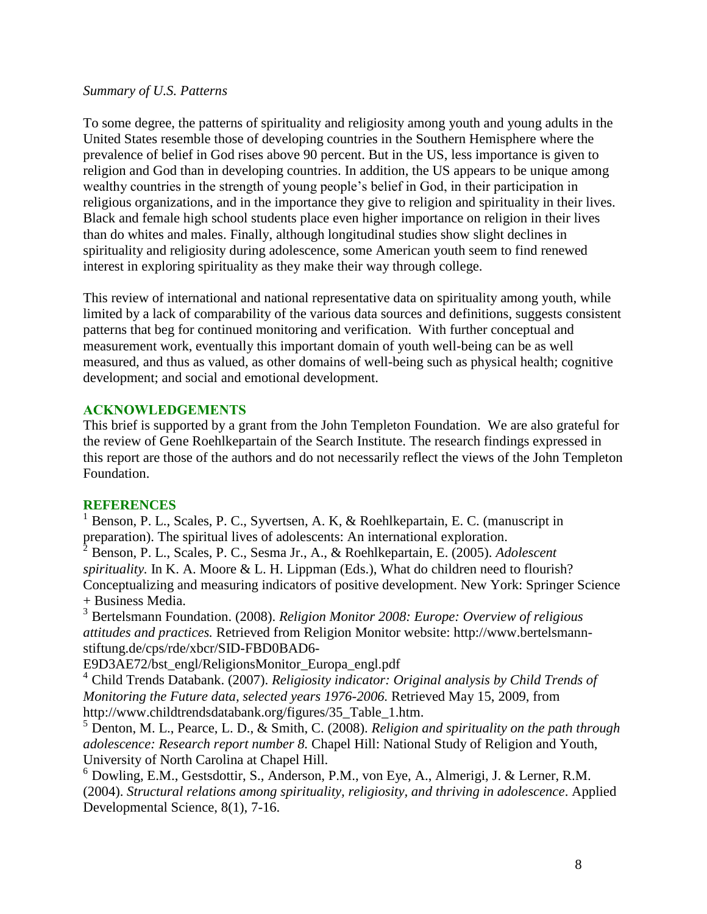#### *Summary of U.S. Patterns*

To some degree, the patterns of spirituality and religiosity among youth and young adults in the United States resemble those of developing countries in the Southern Hemisphere where the prevalence of belief in God rises above 90 percent. But in the US, less importance is given to religion and God than in developing countries. In addition, the US appears to be unique among wealthy countries in the strength of young people's belief in God, in their participation in religious organizations, and in the importance they give to religion and spirituality in their lives. Black and female high school students place even higher importance on religion in their lives than do whites and males. Finally, although longitudinal studies show slight declines in spirituality and religiosity during adolescence, some American youth seem to find renewed interest in exploring spirituality as they make their way through college.

This review of international and national representative data on spirituality among youth, while limited by a lack of comparability of the various data sources and definitions, suggests consistent patterns that beg for continued monitoring and verification. With further conceptual and measurement work, eventually this important domain of youth well-being can be as well measured, and thus as valued, as other domains of well-being such as physical health; cognitive development; and social and emotional development.

#### **ACKNOWLEDGEMENTS**

This brief is supported by a grant from the John Templeton Foundation. We are also grateful for the review of Gene Roehlkepartain of the Search Institute. The research findings expressed in this report are those of the authors and do not necessarily reflect the views of the John Templeton Foundation.

## **REFERENCES**

<sup>1</sup> Benson, P. L., Scales, P. C., Syvertsen, A. K. & Roehlkepartain, E. C. (manuscript in preparation). The spiritual lives of adolescents: An international exploration.

<sup>2</sup> Benson, P. L., Scales, P. C., Sesma Jr., A., & Roehlkepartain, E. (2005). *Adolescent spirituality.* In K. A. Moore & L. H. Lippman (Eds.), What do children need to flourish? Conceptualizing and measuring indicators of positive development. New York: Springer Science + Business Media.

<sup>3</sup> Bertelsmann Foundation. (2008). *Religion Monitor 2008: Europe: Overview of religious attitudes and practices.* Retrieved from Religion Monitor website: http://www.bertelsmannstiftung.de/cps/rde/xbcr/SID-FBD0BAD6-

E9D3AE72/bst\_engl/ReligionsMonitor\_Europa\_engl.pdf

<sup>4</sup> Child Trends Databank. (2007). *Religiosity indicator: Original analysis by Child Trends of Monitoring the Future data, selected years 1976-2006.* Retrieved May 15, 2009, from http://www.childtrendsdatabank.org/figures/35\_Table\_1.htm.

<sup>5</sup> Denton, M. L., Pearce, L. D., & Smith, C. (2008). *Religion and spirituality on the path through adolescence: Research report number 8.* Chapel Hill: National Study of Religion and Youth, University of North Carolina at Chapel Hill.

<sup>6</sup> Dowling, E.M., Gestsdottir, S., Anderson, P.M., von Eye, A., Almerigi, J. & Lerner, R.M. (2004). *Structural relations among spirituality, religiosity, and thriving in adolescence*. Applied Developmental Science, 8(1), 7-16.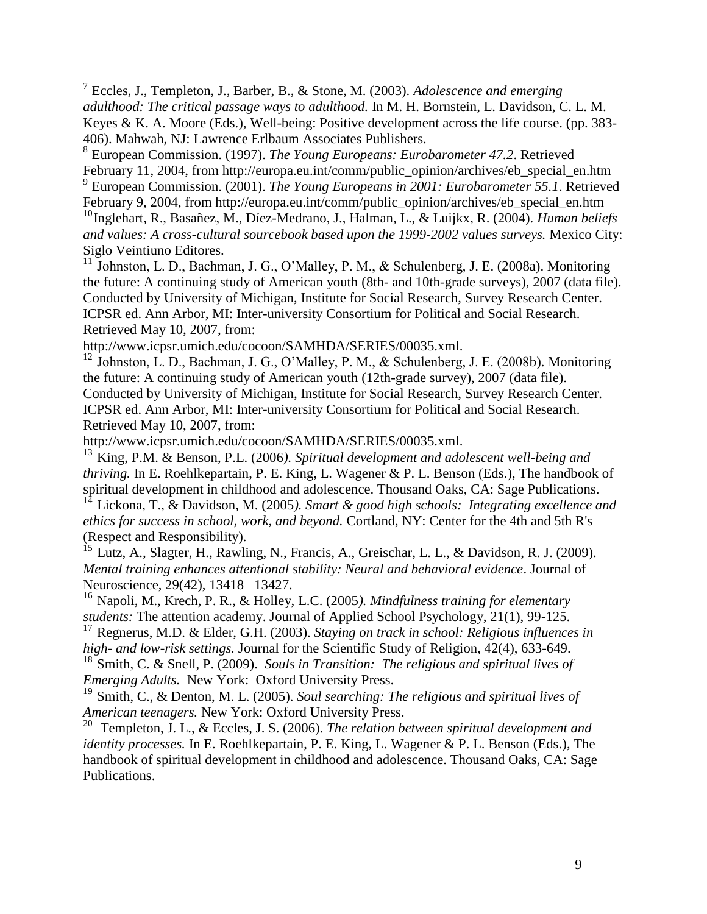7 Eccles, J., Templeton, J., Barber, B., & Stone, M. (2003). *Adolescence and emerging adulthood: The critical passage ways to adulthood.* In M. H. Bornstein, L. Davidson, C. L. M. Keyes & K. A. Moore (Eds.), Well-being: Positive development across the life course. (pp. 383- 406). Mahwah, NJ: Lawrence Erlbaum Associates Publishers.

8 European Commission. (1997). *The Young Europeans: Eurobarometer 47.2*. Retrieved February 11, 2004, from http://europa.eu.int/comm/public\_opinion/archives/eb\_special\_en.htm

9 European Commission. (2001). *The Young Europeans in 2001: Eurobarometer 55.1*. Retrieved February 9, 2004, from http://europa.eu.int/comm/public\_opinion/archives/eb\_special\_en.htm

<sup>10</sup>Inglehart, R., Basañez, M., Díez-Medrano, J., Halman, L., & Luijkx, R. (2004). *Human beliefs and values: A cross-cultural sourcebook based upon the 1999-2002 values surveys.* Mexico City: Siglo Veintiuno Editores.

<sup>11</sup> Johnston, L. D., Bachman, J. G., O'Malley, P. M., & Schulenberg, J. E. (2008a). Monitoring the future: A continuing study of American youth (8th- and 10th-grade surveys), 2007 (data file). Conducted by University of Michigan, Institute for Social Research, Survey Research Center. ICPSR ed. Ann Arbor, MI: Inter-university Consortium for Political and Social Research. Retrieved May 10, 2007, from:

http://www.icpsr.umich.edu/cocoon/SAMHDA/SERIES/00035.xml.

<sup>12</sup> Johnston, L. D., Bachman, J. G., O'Malley, P. M., & Schulenberg, J. E. (2008b). Monitoring the future: A continuing study of American youth (12th-grade survey), 2007 (data file). Conducted by University of Michigan, Institute for Social Research, Survey Research Center. ICPSR ed. Ann Arbor, MI: Inter-university Consortium for Political and Social Research. Retrieved May 10, 2007, from:

http://www.icpsr.umich.edu/cocoon/SAMHDA/SERIES/00035.xml.

<sup>13</sup> King, P.M. & Benson, P.L. (2006*). Spiritual development and adolescent well-being and thriving.* In E. Roehlkepartain, P. E. King, L. Wagener & P. L. Benson (Eds.), The handbook of spiritual development in childhood and adolescence. Thousand Oaks, CA: Sage Publications. <sup>14</sup> Lickona, T., & Davidson, M. (2005*). Smart & good high schools: Integrating excellence and ethics for success in school, work, and beyond.* Cortland, NY: Center for the 4th and 5th R's

(Respect and Responsibility).

 $^{15}$  Lutz, A., Slagter, H., Rawling, N., Francis, A., Greischar, L. L., & Davidson, R. J. (2009). *Mental training enhances attentional stability: Neural and behavioral evidence*. Journal of Neuroscience, 29(42), 13418 –13427.

<sup>16</sup> Napoli, M., Krech, P. R., & Holley, L.C. (2005*). Mindfulness training for elementary students:* The attention academy. Journal of Applied School Psychology, 21(1), 99-125.

<sup>17</sup> Regnerus, M.D. & Elder, G.H. (2003). *Staying on track in school: Religious influences in high- and low-risk settings.* Journal for the Scientific Study of Religion, 42(4), 633-649.

<sup>18</sup> Smith, C. & Snell, P. (2009). *Souls in Transition: The religious and spiritual lives of Emerging Adults.* New York: Oxford University Press.

<sup>19</sup> Smith, C., & Denton, M. L. (2005). *Soul searching: The religious and spiritual lives of American teenagers.* New York: Oxford University Press.

<sup>20</sup> Templeton, J. L., & Eccles, J. S. (2006). *The relation between spiritual development and identity processes.* In E. Roehlkepartain, P. E. King, L. Wagener & P. L. Benson (Eds.), The handbook of spiritual development in childhood and adolescence. Thousand Oaks, CA: Sage Publications.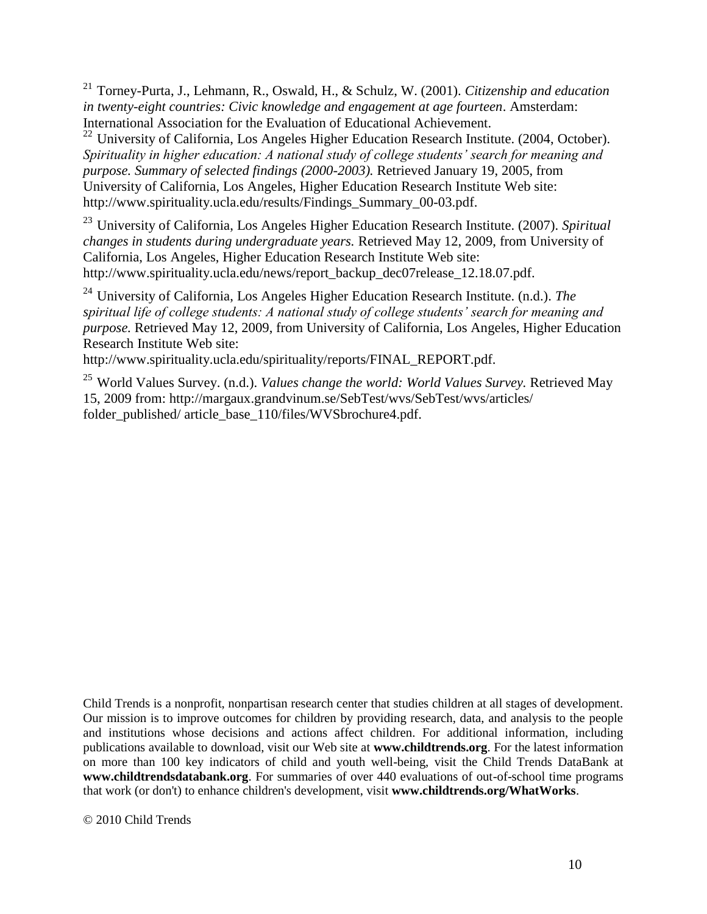<sup>21</sup> Torney-Purta, J., Lehmann, R., Oswald, H., & Schulz, W. (2001). *Citizenship and education in twenty-eight countries: Civic knowledge and engagement at age fourteen*. Amsterdam: International Association for the Evaluation of Educational Achievement.

 $22$  University of California, Los Angeles Higher Education Research Institute. (2004, October). *Spirituality in higher education: A national study of college students' search for meaning and purpose. Summary of selected findings (2000-2003).* Retrieved January 19, 2005, from University of California, Los Angeles, Higher Education Research Institute Web site: http://www.spirituality.ucla.edu/results/Findings\_Summary\_00-03.pdf.

<sup>23</sup> University of California, Los Angeles Higher Education Research Institute. (2007). *Spiritual changes in students during undergraduate years.* Retrieved May 12, 2009, from University of California, Los Angeles, Higher Education Research Institute Web site: http://www.spirituality.ucla.edu/news/report\_backup\_dec07release\_12.18.07.pdf.

<sup>24</sup> University of California, Los Angeles Higher Education Research Institute. (n.d.). *The spiritual life of college students: A national study of college students' search for meaning and purpose.* Retrieved May 12, 2009, from University of California, Los Angeles, Higher Education Research Institute Web site:

http://www.spirituality.ucla.edu/spirituality/reports/FINAL\_REPORT.pdf.

<sup>25</sup> World Values Survey. (n.d.). *Values change the world: World Values Survey.* Retrieved May 15, 2009 from: http://margaux.grandvinum.se/SebTest/wvs/SebTest/wvs/articles/ folder\_published/ article\_base\_110/files/WVSbrochure4.pdf.

Child Trends is a nonprofit, nonpartisan research center that studies children at all stages of development. Our mission is to improve outcomes for children by providing research, data, and analysis to the people and institutions whose decisions and actions affect children. For additional information, including publications available to download, visit our Web site at **www.childtrends.org**. For the latest information on more than 100 key indicators of child and youth well-being, visit the Child Trends DataBank at **www.childtrendsdatabank.org**. For summaries of over 440 evaluations of out-of-school time programs that work (or don't) to enhance children's development, visit **www.childtrends.org/WhatWorks**.

© 2010 Child Trends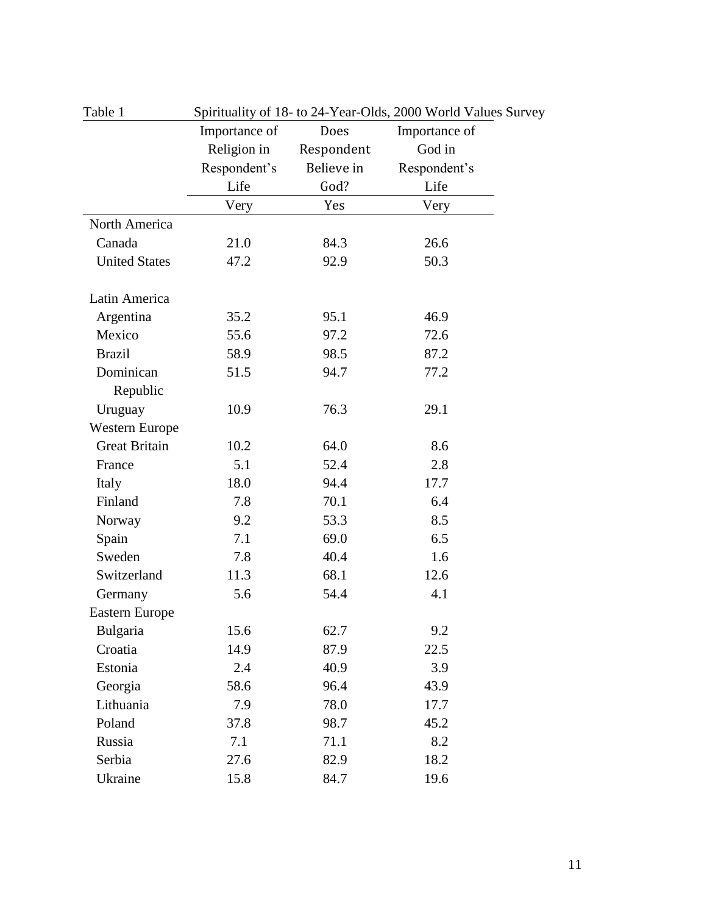| Table 1               | Spirituality of 18- to 24-Year-Olds, 2000 World Values Survey |            |               |  |  |  |
|-----------------------|---------------------------------------------------------------|------------|---------------|--|--|--|
|                       | Importance of                                                 | Does       | Importance of |  |  |  |
|                       | Religion in                                                   | Respondent | God in        |  |  |  |
|                       | Respondent's                                                  | Believe in | Respondent's  |  |  |  |
|                       | Life                                                          | God?       | Life          |  |  |  |
|                       | Very                                                          | Yes        | Very          |  |  |  |
| North America         |                                                               |            |               |  |  |  |
| Canada                | 21.0                                                          | 84.3       | 26.6          |  |  |  |
| <b>United States</b>  | 47.2                                                          | 92.9       | 50.3          |  |  |  |
| Latin America         |                                                               |            |               |  |  |  |
| Argentina             | 35.2                                                          | 95.1       | 46.9          |  |  |  |
| Mexico                | 55.6                                                          | 97.2       | 72.6          |  |  |  |
| <b>Brazil</b>         | 58.9                                                          | 98.5       | 87.2          |  |  |  |
| Dominican             | 51.5                                                          | 94.7       | 77.2          |  |  |  |
| Republic              |                                                               |            |               |  |  |  |
| Uruguay               | 10.9                                                          | 76.3       | 29.1          |  |  |  |
| <b>Western Europe</b> |                                                               |            |               |  |  |  |
| <b>Great Britain</b>  | 10.2                                                          | 64.0       | 8.6           |  |  |  |
| France                | 5.1                                                           | 52.4       | 2.8           |  |  |  |
| Italy                 | 18.0                                                          | 94.4       | 17.7          |  |  |  |
| Finland               | 7.8                                                           | 70.1       | 6.4           |  |  |  |
| Norway                | 9.2                                                           | 53.3       | 8.5           |  |  |  |
| Spain                 | 7.1                                                           | 69.0       | 6.5           |  |  |  |
| Sweden                | 7.8                                                           | 40.4       | 1.6           |  |  |  |
| Switzerland           | 11.3                                                          | 68.1       | 12.6          |  |  |  |
| Germany               | 5.6                                                           | 54.4       | 4.1           |  |  |  |
| Eastern Europe        |                                                               |            |               |  |  |  |
| Bulgaria              | 15.6                                                          | 62.7       | 9.2           |  |  |  |
| Croatia               | 14.9                                                          | 87.9       | 22.5          |  |  |  |
| Estonia               | 2.4                                                           | 40.9       | 3.9           |  |  |  |
| Georgia               | 58.6                                                          | 96.4       | 43.9          |  |  |  |
| Lithuania             | 7.9                                                           | 78.0       | 17.7          |  |  |  |
| Poland                | 37.8                                                          | 98.7       | 45.2          |  |  |  |
| Russia                | 7.1                                                           | 71.1       | 8.2           |  |  |  |
| Serbia                | 27.6                                                          | 82.9       | 18.2          |  |  |  |
| Ukraine               | 15.8                                                          | 84.7       | 19.6          |  |  |  |

11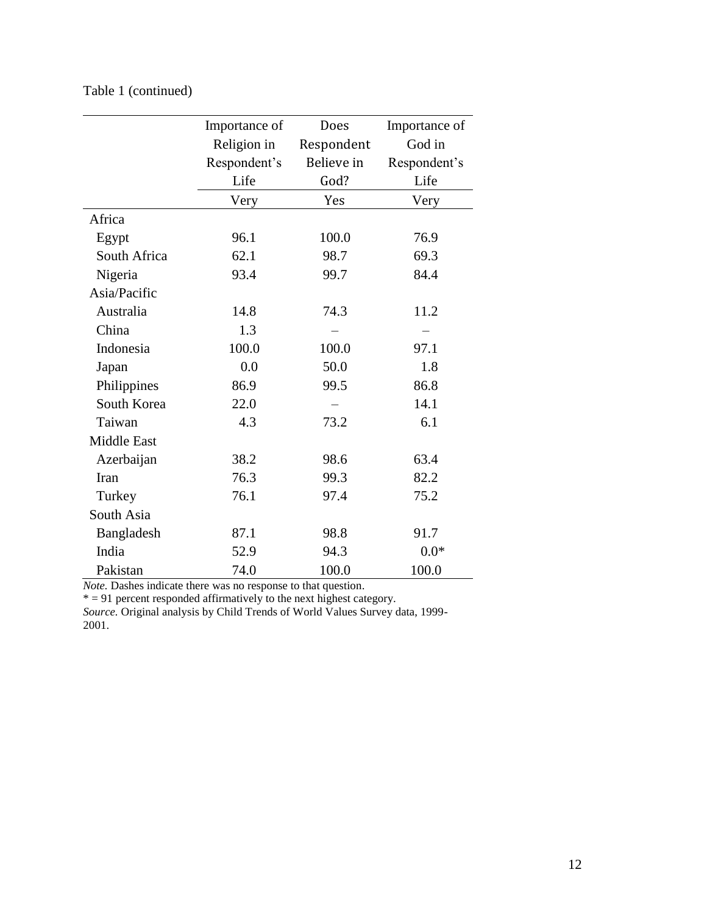|                    | Importance of | Does       | Importance of |  |  |
|--------------------|---------------|------------|---------------|--|--|
|                    | Religion in   | Respondent | God in        |  |  |
|                    | Respondent's  | Believe in | Respondent's  |  |  |
|                    | Life          | God?       | Life          |  |  |
|                    | Very          | Yes        | Very          |  |  |
| Africa             |               |            |               |  |  |
| Egypt              | 96.1          | 100.0      | 76.9          |  |  |
| South Africa       | 62.1          | 98.7       | 69.3          |  |  |
| Nigeria            | 93.4          | 99.7       | 84.4          |  |  |
| Asia/Pacific       |               |            |               |  |  |
| Australia          | 14.8          | 74.3       | 11.2          |  |  |
| China              | 1.3           |            |               |  |  |
| Indonesia          | 100.0         | 100.0      | 97.1          |  |  |
| Japan              | 0.0           | 50.0       | 1.8           |  |  |
| Philippines        | 86.9          | 99.5       | 86.8          |  |  |
| South Korea        | 22.0          |            | 14.1          |  |  |
| Taiwan             | 4.3           | 73.2       | 6.1           |  |  |
| <b>Middle East</b> |               |            |               |  |  |
| Azerbaijan         | 38.2          | 98.6       | 63.4          |  |  |
| Iran               | 76.3          | 99.3       | 82.2          |  |  |
| Turkey             | 76.1          | 97.4       | 75.2          |  |  |
| South Asia         |               |            |               |  |  |
| Bangladesh         | 87.1          | 98.8       | 91.7          |  |  |
| India              | 52.9          | 94.3       | $0.0*$        |  |  |
| Pakistan           | 74.0          | 100.0      | 100.0         |  |  |

Table 1 (continued)

*Note.* Dashes indicate there was no response to that question.

 $* = 91$  percent responded affirmatively to the next highest category.

*Source.* Original analysis by Child Trends of World Values Survey data, 1999- 2001.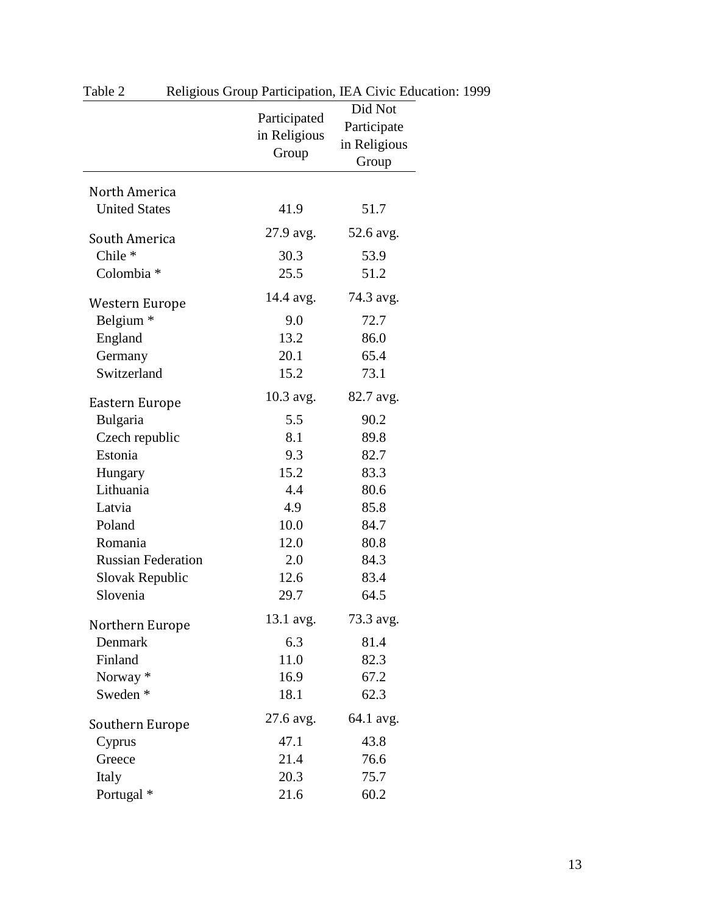|                                        | Participated<br>in Religious<br>Group | Did Not<br>Participate<br>in Religious<br>Group |
|----------------------------------------|---------------------------------------|-------------------------------------------------|
| North America                          |                                       |                                                 |
| <b>United States</b>                   | 41.9                                  | 51.7                                            |
| South America                          | 27.9 avg.                             | 52.6 avg.                                       |
| Chile <sup>*</sup>                     | 30.3                                  | 53.9                                            |
| Colombia *                             | 25.5                                  | 51.2                                            |
|                                        | 14.4 avg.                             | 74.3 avg.                                       |
| Western Europe<br>Belgium <sup>*</sup> | 9.0                                   | 72.7                                            |
|                                        | 13.2                                  | 86.0                                            |
| England<br>Germany                     | 20.1                                  | 65.4                                            |
| Switzerland                            | 15.2                                  | 73.1                                            |
|                                        |                                       |                                                 |
| Eastern Europe                         | 10.3 avg.                             | 82.7 avg.                                       |
| Bulgaria                               | 5.5                                   | 90.2                                            |
| Czech republic                         | 8.1                                   | 89.8                                            |
| Estonia                                | 9.3                                   | 82.7                                            |
| Hungary                                | 15.2                                  | 83.3                                            |
| Lithuania                              | 4.4                                   | 80.6                                            |
| Latvia                                 | 4.9                                   | 85.8                                            |
| Poland                                 | 10.0                                  | 84.7                                            |
| Romania                                | 12.0                                  | 80.8                                            |
| <b>Russian Federation</b>              | 2.0                                   | 84.3                                            |
| Slovak Republic                        | 12.6                                  | 83.4                                            |
| Slovenia                               | 29.7                                  | 64.5                                            |
| Northern Europe                        | 13.1 avg.                             | 73.3 avg.                                       |
| Denmark                                | 6.3                                   | 81.4                                            |
| Finland                                | 11.0                                  | 82.3                                            |
| Norway <sup>*</sup>                    | 16.9                                  | 67.2                                            |
| Sweden <sup>*</sup>                    | 18.1                                  | 62.3                                            |
| Southern Europe                        | 27.6 avg.                             | 64.1 avg.                                       |
| Cyprus                                 | 47.1                                  | 43.8                                            |
| Greece                                 | 21.4                                  | 76.6                                            |
| Italy                                  | 20.3                                  | 75.7                                            |
| Portugal *                             | 21.6                                  | 60.2                                            |

Table 2 Religious Group Participation, IEA Civic Education: 1999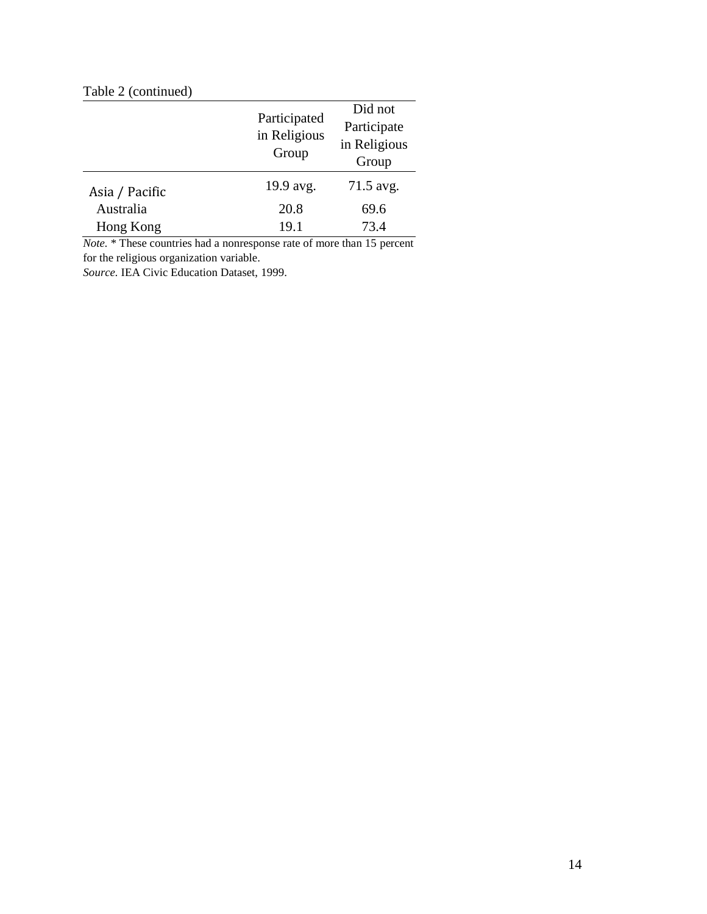# Table 2 (continued)

|                | Participated<br>in Religious<br>Group | Did not<br>Participate<br>in Religious<br>Group |
|----------------|---------------------------------------|-------------------------------------------------|
| Asia / Pacific | 19.9 avg.                             | 71.5 avg.                                       |
| Australia      | 20.8                                  | 69.6                                            |
| Hong Kong      | 19.1                                  | 73.4                                            |

*Note.* \* These countries had a nonresponse rate of more than 15 percent for the religious organization variable.

*Source.* IEA Civic Education Dataset, 1999.